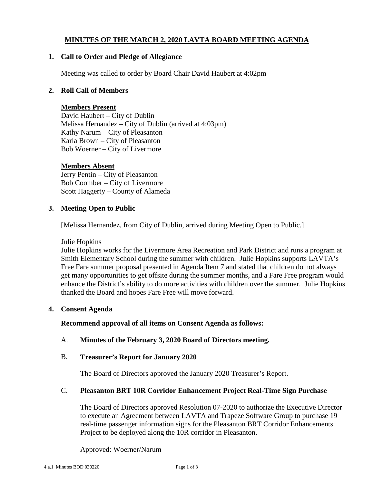# **MINUTES OF THE MARCH 2, 2020 LAVTA BOARD MEETING AGENDA**

#### **1. Call to Order and Pledge of Allegiance**

Meeting was called to order by Board Chair David Haubert at 4:02pm

#### **2. Roll Call of Members**

#### **Members Present**

David Haubert – City of Dublin Melissa Hernandez – City of Dublin (arrived at 4:03pm) Kathy Narum – City of Pleasanton Karla Brown – City of Pleasanton Bob Woerner – City of Livermore

#### **Members Absent**

Jerry Pentin – City of Pleasanton Bob Coomber – City of Livermore Scott Haggerty – County of Alameda

#### **3. Meeting Open to Public**

[Melissa Hernandez, from City of Dublin, arrived during Meeting Open to Public.]

Julie Hopkins

Julie Hopkins works for the Livermore Area Recreation and Park District and runs a program at Smith Elementary School during the summer with children. Julie Hopkins supports LAVTA's Free Fare summer proposal presented in Agenda Item 7 and stated that children do not always get many opportunities to get offsite during the summer months, and a Fare Free program would enhance the District's ability to do more activities with children over the summer. Julie Hopkins thanked the Board and hopes Fare Free will move forward.

#### **4. Consent Agenda**

**Recommend approval of all items on Consent Agenda as follows:**

#### A. **Minutes of the February 3, 2020 Board of Directors meeting.**

#### B. **Treasurer's Report for January 2020**

The Board of Directors approved the January 2020 Treasurer's Report.

#### C. **Pleasanton BRT 10R Corridor Enhancement Project Real-Time Sign Purchase**

The Board of Directors approved Resolution 07-2020 to authorize the Executive Director to execute an Agreement between LAVTA and Trapeze Software Group to purchase 19 real-time passenger information signs for the Pleasanton BRT Corridor Enhancements Project to be deployed along the 10R corridor in Pleasanton.

Approved: Woerner/Narum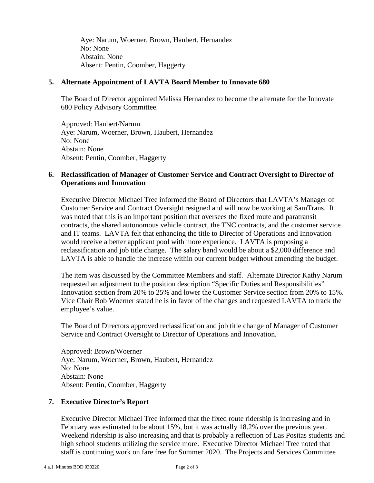Aye: Narum, Woerner, Brown, Haubert, Hernandez No: None Abstain: None Absent: Pentin, Coomber, Haggerty

## **5. Alternate Appointment of LAVTA Board Member to Innovate 680**

The Board of Director appointed Melissa Hernandez to become the alternate for the Innovate 680 Policy Advisory Committee.

Approved: Haubert/Narum Aye: Narum, Woerner, Brown, Haubert, Hernandez No: None Abstain: None Absent: Pentin, Coomber, Haggerty

## **6. Reclassification of Manager of Customer Service and Contract Oversight to Director of Operations and Innovation**

Executive Director Michael Tree informed the Board of Directors that LAVTA's Manager of Customer Service and Contract Oversight resigned and will now be working at SamTrans. It was noted that this is an important position that oversees the fixed route and paratransit contracts, the shared autonomous vehicle contract, the TNC contracts, and the customer service and IT teams. LAVTA felt that enhancing the title to Director of Operations and Innovation would receive a better applicant pool with more experience. LAVTA is proposing a reclassification and job title change. The salary band would be about a \$2,000 difference and LAVTA is able to handle the increase within our current budget without amending the budget.

The item was discussed by the Committee Members and staff. Alternate Director Kathy Narum requested an adjustment to the position description "Specific Duties and Responsibilities" Innovation section from 20% to 25% and lower the Customer Service section from 20% to 15%. Vice Chair Bob Woerner stated he is in favor of the changes and requested LAVTA to track the employee's value.

The Board of Directors approved reclassification and job title change of Manager of Customer Service and Contract Oversight to Director of Operations and Innovation.

Approved: Brown/Woerner Aye: Narum, Woerner, Brown, Haubert, Hernandez No: None Abstain: None Absent: Pentin, Coomber, Haggerty

#### **7. Executive Director's Report**

Executive Director Michael Tree informed that the fixed route ridership is increasing and in February was estimated to be about 15%, but it was actually 18.2% over the previous year. Weekend ridership is also increasing and that is probably a reflection of Las Positas students and high school students utilizing the service more. Executive Director Michael Tree noted that staff is continuing work on fare free for Summer 2020. The Projects and Services Committee